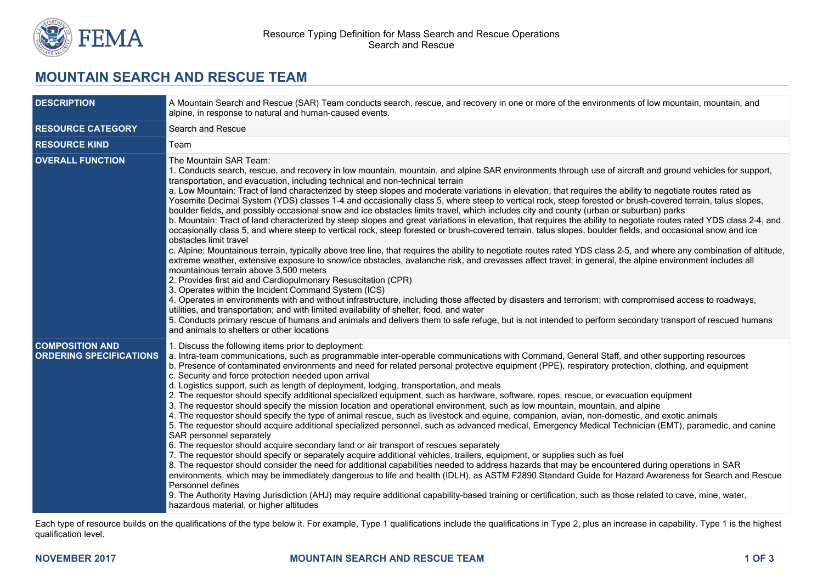

## **MOUNTAIN SEARCH AND RESCUE TEAM**

| <b>DESCRIPTION</b>                                       | A Mountain Search and Rescue (SAR) Team conducts search, rescue, and recovery in one or more of the environments of low mountain, mountain, and<br>alpine, in response to natural and human-caused events.                                                                                                                                                                                                                                                                                                                                                                                                                                                                                                                                                                                                                                                                                                                                                                                                                                                                                                                                                                                                                                                                                                                                                                                                                                                                                                                                                                                                                                                                                                                                                                                                                                                                                                                                                                                                                                                                |  |
|----------------------------------------------------------|---------------------------------------------------------------------------------------------------------------------------------------------------------------------------------------------------------------------------------------------------------------------------------------------------------------------------------------------------------------------------------------------------------------------------------------------------------------------------------------------------------------------------------------------------------------------------------------------------------------------------------------------------------------------------------------------------------------------------------------------------------------------------------------------------------------------------------------------------------------------------------------------------------------------------------------------------------------------------------------------------------------------------------------------------------------------------------------------------------------------------------------------------------------------------------------------------------------------------------------------------------------------------------------------------------------------------------------------------------------------------------------------------------------------------------------------------------------------------------------------------------------------------------------------------------------------------------------------------------------------------------------------------------------------------------------------------------------------------------------------------------------------------------------------------------------------------------------------------------------------------------------------------------------------------------------------------------------------------------------------------------------------------------------------------------------------------|--|
| <b>RESOURCE CATEGORY</b>                                 | Search and Rescue                                                                                                                                                                                                                                                                                                                                                                                                                                                                                                                                                                                                                                                                                                                                                                                                                                                                                                                                                                                                                                                                                                                                                                                                                                                                                                                                                                                                                                                                                                                                                                                                                                                                                                                                                                                                                                                                                                                                                                                                                                                         |  |
| <b>RESOURCE KIND</b>                                     | Team                                                                                                                                                                                                                                                                                                                                                                                                                                                                                                                                                                                                                                                                                                                                                                                                                                                                                                                                                                                                                                                                                                                                                                                                                                                                                                                                                                                                                                                                                                                                                                                                                                                                                                                                                                                                                                                                                                                                                                                                                                                                      |  |
| <b>OVERALL FUNCTION</b>                                  | The Mountain SAR Team:<br>1. Conducts search, rescue, and recovery in low mountain, mountain, and alpine SAR environments through use of aircraft and ground vehicles for support,<br>transportation, and evacuation, including technical and non-technical terrain<br>a. Low Mountain: Tract of land characterized by steep slopes and moderate variations in elevation, that requires the ability to negotiate routes rated as<br>Yosemite Decimal System (YDS) classes 1-4 and occasionally class 5, where steep to vertical rock, steep forested or brush-covered terrain, talus slopes,<br>boulder fields, and possibly occasional snow and ice obstacles limits travel, which includes city and county (urban or suburban) parks<br>b. Mountain: Tract of land characterized by steep slopes and great variations in elevation, that requires the ability to negotiate routes rated YDS class 2-4, and<br>occasionally class 5, and where steep to vertical rock, steep forested or brush-covered terrain, talus slopes, boulder fields, and occasional snow and ice<br>obstacles limit travel<br>c. Alpine: Mountainous terrain, typically above tree line, that requires the ability to negotiate routes rated YDS class 2-5, and where any combination of altitude,<br>extreme weather, extensive exposure to snow/ice obstacles, avalanche risk, and crevasses affect travel; in general, the alpine environment includes all<br>mountainous terrain above 3.500 meters<br>2. Provides first aid and Cardiopulmonary Resuscitation (CPR)<br>3. Operates within the Incident Command System (ICS)<br>4. Operates in environments with and without infrastructure, including those affected by disasters and terrorism; with compromised access to roadways,<br>utilities, and transportation; and with limited availability of shelter, food, and water<br>5. Conducts primary rescue of humans and animals and delivers them to safe refuge, but is not intended to perform secondary transport of rescued humans<br>and animals to shelters or other locations |  |
| <b>COMPOSITION AND</b><br><b>ORDERING SPECIFICATIONS</b> | 1. Discuss the following items prior to deployment:<br>a. Intra-team communications, such as programmable inter-operable communications with Command, General Staff, and other supporting resources<br>b. Presence of contaminated environments and need for related personal protective equipment (PPE), respiratory protection, clothing, and equipment<br>c. Security and force protection needed upon arrival<br>d. Logistics support, such as length of deployment, lodging, transportation, and meals<br>2. The requestor should specify additional specialized equipment, such as hardware, software, ropes, rescue, or evacuation equipment<br>3. The requestor should specify the mission location and operational environment, such as low mountain, mountain, and alpine<br>4. The requestor should specify the type of animal rescue, such as livestock and equine, companion, avian, non-domestic, and exotic animals<br>5. The requestor should acquire additional specialized personnel, such as advanced medical, Emergency Medical Technician (EMT), paramedic, and canine<br>SAR personnel separately<br>6. The requestor should acquire secondary land or air transport of rescues separately<br>7. The requestor should specify or separately acquire additional vehicles, trailers, equipment, or supplies such as fuel<br>8. The requestor should consider the need for additional capabilities needed to address hazards that may be encountered during operations in SAR<br>environments, which may be immediately dangerous to life and health (IDLH), as ASTM F2890 Standard Guide for Hazard Awareness for Search and Rescue<br>Personnel defines<br>9. The Authority Having Jurisdiction (AHJ) may require additional capability-based training or certification, such as those related to cave, mine, water,<br>hazardous material, or higher altitudes                                                                                                                                                                                      |  |

Each type of resource builds on the qualifications of the type below it. For example, Type 1 qualifications include the qualifications in Type 2, plus an increase in capability. Type 1 is the highest qualification level.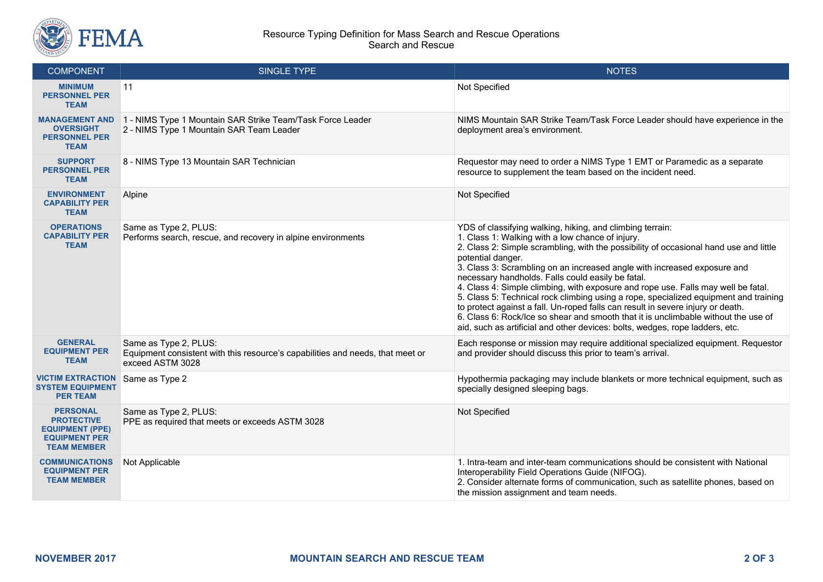

## Resource Typing Definition for Mass Search and Rescue Operations Search and Rescue

| <b>COMPONENT</b>                                                                                             | SINGLE TYPE                                                                                                                 | <b>NOTES</b>                                                                                                                                                                                                                                                                                                                                                                                                                                                                                                                                                                                                                                                                                                                                                                                       |
|--------------------------------------------------------------------------------------------------------------|-----------------------------------------------------------------------------------------------------------------------------|----------------------------------------------------------------------------------------------------------------------------------------------------------------------------------------------------------------------------------------------------------------------------------------------------------------------------------------------------------------------------------------------------------------------------------------------------------------------------------------------------------------------------------------------------------------------------------------------------------------------------------------------------------------------------------------------------------------------------------------------------------------------------------------------------|
| <b>MINIMUM</b><br><b>PERSONNEL PER</b><br><b>TEAM</b>                                                        | 11                                                                                                                          | Not Specified                                                                                                                                                                                                                                                                                                                                                                                                                                                                                                                                                                                                                                                                                                                                                                                      |
| <b>MANAGEMENT AND</b><br><b>OVERSIGHT</b><br><b>PERSONNEL PER</b><br><b>TEAM</b>                             | 1 - NIMS Type 1 Mountain SAR Strike Team/Task Force Leader<br>2 - NIMS Type 1 Mountain SAR Team Leader                      | NIMS Mountain SAR Strike Team/Task Force Leader should have experience in the<br>deployment area's environment.                                                                                                                                                                                                                                                                                                                                                                                                                                                                                                                                                                                                                                                                                    |
| <b>SUPPORT</b><br><b>PERSONNEL PER</b><br><b>TEAM</b>                                                        | 8 - NIMS Type 13 Mountain SAR Technician                                                                                    | Requestor may need to order a NIMS Type 1 EMT or Paramedic as a separate<br>resource to supplement the team based on the incident need.                                                                                                                                                                                                                                                                                                                                                                                                                                                                                                                                                                                                                                                            |
| <b>ENVIRONMENT</b><br><b>CAPABILITY PER</b><br><b>TEAM</b>                                                   | Alpine                                                                                                                      | Not Specified                                                                                                                                                                                                                                                                                                                                                                                                                                                                                                                                                                                                                                                                                                                                                                                      |
| <b>OPERATIONS</b><br><b>CAPABILITY PER</b><br><b>TEAM</b>                                                    | Same as Type 2, PLUS:<br>Performs search, rescue, and recovery in alpine environments                                       | YDS of classifying walking, hiking, and climbing terrain:<br>1. Class 1: Walking with a low chance of injury.<br>2. Class 2: Simple scrambling, with the possibility of occasional hand use and little<br>potential danger.<br>3. Class 3: Scrambling on an increased angle with increased exposure and<br>necessary handholds. Falls could easily be fatal.<br>4. Class 4: Simple climbing, with exposure and rope use. Falls may well be fatal.<br>5. Class 5: Technical rock climbing using a rope, specialized equipment and training<br>to protect against a fall. Un-roped falls can result in severe injury or death.<br>6. Class 6: Rock/Ice so shear and smooth that it is unclimbable without the use of<br>aid, such as artificial and other devices: bolts, wedges, rope ladders, etc. |
| <b>GENERAL</b><br><b>EQUIPMENT PER</b><br><b>TEAM</b>                                                        | Same as Type 2, PLUS:<br>Equipment consistent with this resource's capabilities and needs, that meet or<br>exceed ASTM 3028 | Each response or mission may require additional specialized equipment. Requestor<br>and provider should discuss this prior to team's arrival.                                                                                                                                                                                                                                                                                                                                                                                                                                                                                                                                                                                                                                                      |
| <b>VICTIM EXTRACTION</b><br><b>SYSTEM EQUIPMENT</b><br><b>PER TEAM</b>                                       | Same as Type 2                                                                                                              | Hypothermia packaging may include blankets or more technical equipment, such as<br>specially designed sleeping bags.                                                                                                                                                                                                                                                                                                                                                                                                                                                                                                                                                                                                                                                                               |
| <b>PERSONAL</b><br><b>PROTECTIVE</b><br><b>EQUIPMENT (PPE)</b><br><b>EQUIPMENT PER</b><br><b>TEAM MEMBER</b> | Same as Type 2, PLUS:<br>PPE as required that meets or exceeds ASTM 3028                                                    | Not Specified                                                                                                                                                                                                                                                                                                                                                                                                                                                                                                                                                                                                                                                                                                                                                                                      |
| <b>COMMUNICATIONS</b><br><b>EQUIPMENT PER</b><br><b>TEAM MEMBER</b>                                          | Not Applicable                                                                                                              | 1. Intra-team and inter-team communications should be consistent with National<br>Interoperability Field Operations Guide (NIFOG).<br>2. Consider alternate forms of communication, such as satellite phones, based on<br>the mission assignment and team needs.                                                                                                                                                                                                                                                                                                                                                                                                                                                                                                                                   |